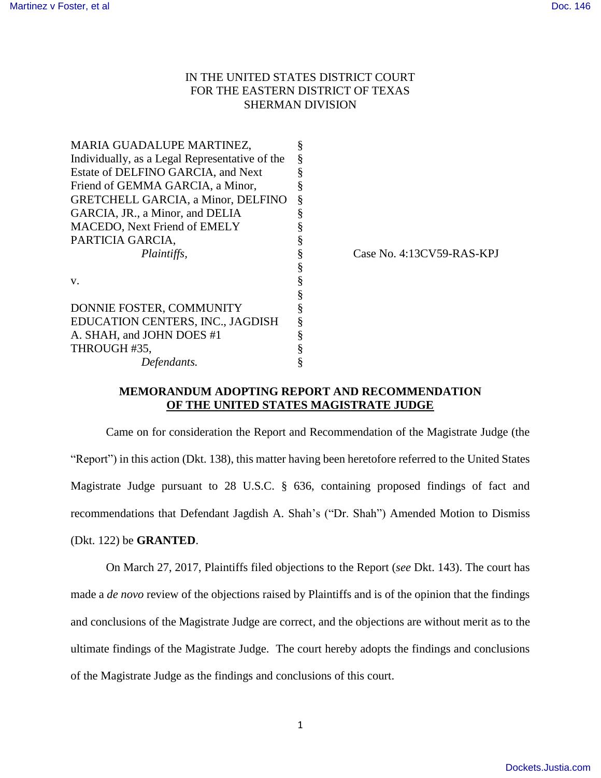## IN THE UNITED STATES DISTRICT COURT FOR THE EASTERN DISTRICT OF TEXAS SHERMAN DIVISION

| MARIA GUADALUPE MARTINEZ,                      |                           |
|------------------------------------------------|---------------------------|
| Individually, as a Legal Representative of the |                           |
| Estate of DELFINO GARCIA, and Next             |                           |
| Friend of GEMMA GARCIA, a Minor,               |                           |
| <b>GRETCHELL GARCIA, a Minor, DELFINO</b>      |                           |
| GARCIA, JR., a Minor, and DELIA                |                           |
| MACEDO, Next Friend of EMELY                   |                           |
| PARTICIA GARCIA,                               |                           |
| <i>Plaintiffs,</i>                             | Case No. 4:13CV59-RAS-KPJ |
|                                                |                           |
| V.                                             |                           |
|                                                |                           |
| DONNIE FOSTER, COMMUNITY                       |                           |
| EDUCATION CENTERS, INC., JAGDISH               |                           |
| A. SHAH, and JOHN DOES #1                      |                           |
| THROUGH #35,                                   |                           |
| Defendants.                                    |                           |

## **MEMORANDUM ADOPTING REPORT AND RECOMMENDATION OF THE UNITED STATES MAGISTRATE JUDGE**

Came on for consideration the Report and Recommendation of the Magistrate Judge (the "Report") in this action (Dkt. 138), this matter having been heretofore referred to the United States Magistrate Judge pursuant to 28 U.S.C. § 636, containing proposed findings of fact and recommendations that Defendant Jagdish A. Shah's ("Dr. Shah") Amended Motion to Dismiss

(Dkt. 122) be **GRANTED**.

On March 27, 2017, Plaintiffs filed objections to the Report (*see* Dkt. 143). The court has made a *de novo* review of the objections raised by Plaintiffs and is of the opinion that the findings and conclusions of the Magistrate Judge are correct, and the objections are without merit as to the ultimate findings of the Magistrate Judge. The court hereby adopts the findings and conclusions of the Magistrate Judge as the findings and conclusions of this court.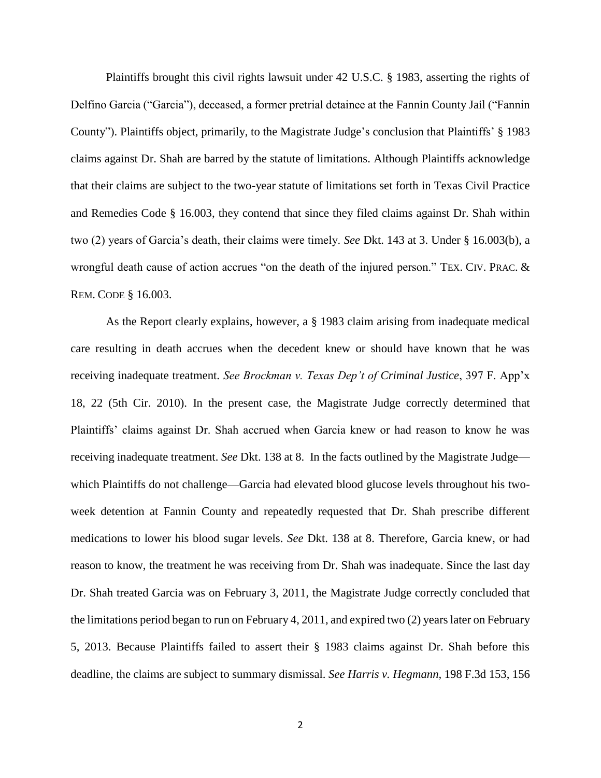Plaintiffs brought this civil rights lawsuit under 42 U.S.C. § 1983, asserting the rights of Delfino Garcia ("Garcia"), deceased, a former pretrial detainee at the Fannin County Jail ("Fannin County"). Plaintiffs object, primarily, to the Magistrate Judge's conclusion that Plaintiffs' § 1983 claims against Dr. Shah are barred by the statute of limitations. Although Plaintiffs acknowledge that their claims are subject to the two-year statute of limitations set forth in Texas Civil Practice and Remedies Code § 16.003, they contend that since they filed claims against Dr. Shah within two (2) years of Garcia's death, their claims were timely. *See* Dkt. 143 at 3. Under § 16.003(b), a wrongful death cause of action accrues "on the death of the injured person." TEX. CIV. PRAC. & REM. CODE § 16.003.

As the Report clearly explains, however, a § 1983 claim arising from inadequate medical care resulting in death accrues when the decedent knew or should have known that he was receiving inadequate treatment. *See Brockman v. Texas Dep't of Criminal Justice*, 397 F. App'x 18, 22 (5th Cir. 2010). In the present case, the Magistrate Judge correctly determined that Plaintiffs' claims against Dr. Shah accrued when Garcia knew or had reason to know he was receiving inadequate treatment. *See* Dkt. 138 at 8. In the facts outlined by the Magistrate Judge which Plaintiffs do not challenge—Garcia had elevated blood glucose levels throughout his twoweek detention at Fannin County and repeatedly requested that Dr. Shah prescribe different medications to lower his blood sugar levels. *See* Dkt. 138 at 8. Therefore, Garcia knew, or had reason to know, the treatment he was receiving from Dr. Shah was inadequate. Since the last day Dr. Shah treated Garcia was on February 3, 2011, the Magistrate Judge correctly concluded that the limitations period began to run on February 4, 2011, and expired two (2) years later on February 5, 2013. Because Plaintiffs failed to assert their § 1983 claims against Dr. Shah before this deadline, the claims are subject to summary dismissal. *See Harris v. Hegmann,* 198 F.3d 153, 156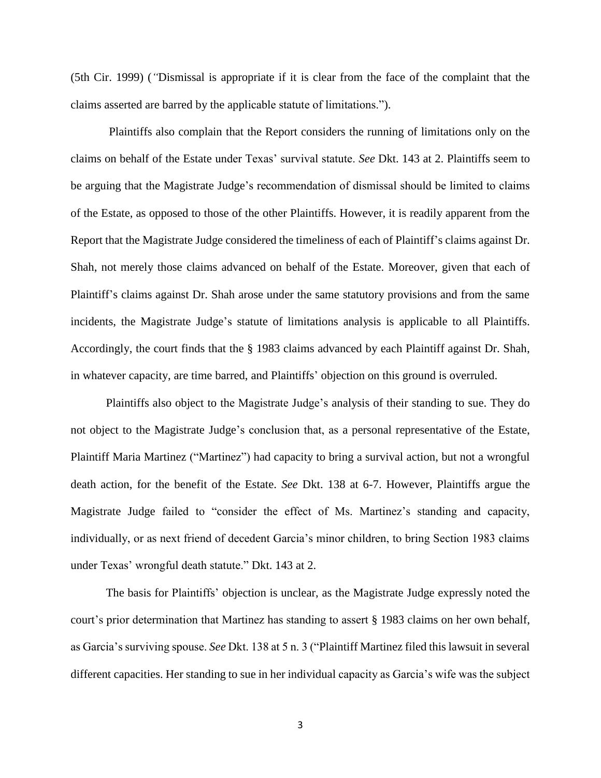(5th Cir. 1999) (*"*Dismissal is appropriate if it is clear from the face of the complaint that the claims asserted are barred by the applicable statute of limitations.").

Plaintiffs also complain that the Report considers the running of limitations only on the claims on behalf of the Estate under Texas' survival statute. *See* Dkt. 143 at 2. Plaintiffs seem to be arguing that the Magistrate Judge's recommendation of dismissal should be limited to claims of the Estate, as opposed to those of the other Plaintiffs. However, it is readily apparent from the Report that the Magistrate Judge considered the timeliness of each of Plaintiff's claims against Dr. Shah, not merely those claims advanced on behalf of the Estate. Moreover, given that each of Plaintiff's claims against Dr. Shah arose under the same statutory provisions and from the same incidents, the Magistrate Judge's statute of limitations analysis is applicable to all Plaintiffs. Accordingly, the court finds that the § 1983 claims advanced by each Plaintiff against Dr. Shah, in whatever capacity, are time barred, and Plaintiffs' objection on this ground is overruled.

Plaintiffs also object to the Magistrate Judge's analysis of their standing to sue. They do not object to the Magistrate Judge's conclusion that, as a personal representative of the Estate, Plaintiff Maria Martinez ("Martinez") had capacity to bring a survival action, but not a wrongful death action, for the benefit of the Estate. *See* Dkt. 138 at 6-7. However, Plaintiffs argue the Magistrate Judge failed to "consider the effect of Ms. Martinez's standing and capacity, individually, or as next friend of decedent Garcia's minor children, to bring Section 1983 claims under Texas' wrongful death statute." Dkt. 143 at 2.

The basis for Plaintiffs' objection is unclear, as the Magistrate Judge expressly noted the court's prior determination that Martinez has standing to assert § 1983 claims on her own behalf, as Garcia's surviving spouse. *See* Dkt. 138 at 5 n. 3 ("Plaintiff Martinez filed this lawsuit in several different capacities. Her standing to sue in her individual capacity as Garcia's wife was the subject